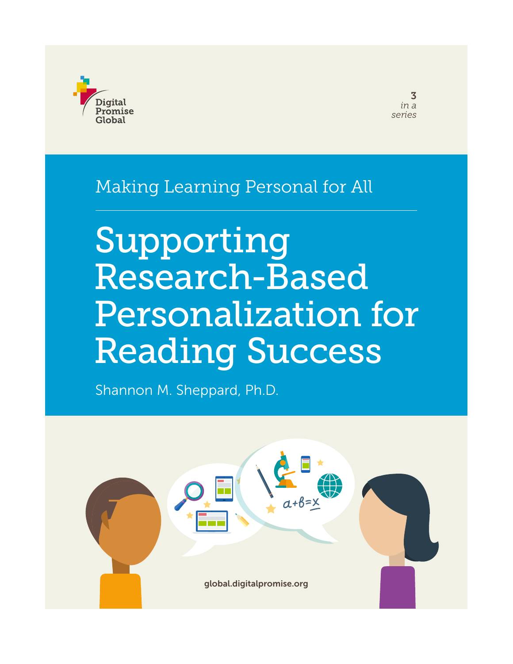

3 *in a series*

### Making Learning Personal for All

# Supporting Research-Based Personalization for Reading Success

Shannon M. Sheppard, Ph.D.

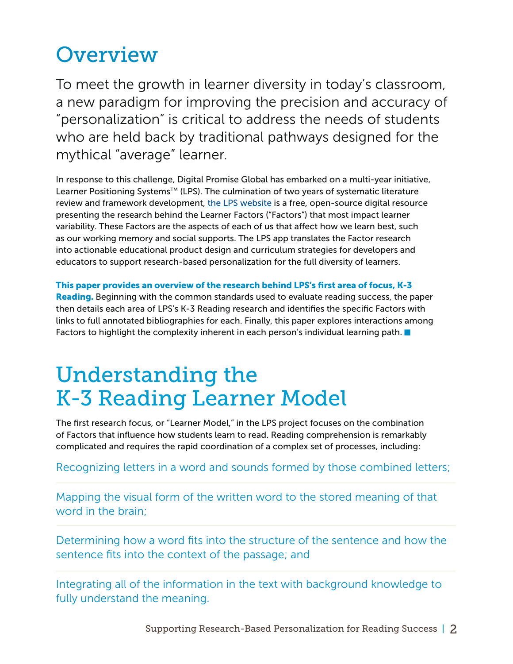# **Overview**

To meet the growth in learner diversity in today's classroom, a new paradigm for improving the precision and accuracy of "personalization" is critical to address the needs of students who are held back by traditional pathways designed for the mythical "average" learner.

In response to this challenge, Digital Promise Global has embarked on a multi-year initiative, Learner Positioning Systems™ (LPS). The culmination of two years of systematic literature review and framework development, [the LPS website](http://lps.digitalpromiseglobal.org) is a free, open-source digital resource presenting the research behind the Learner Factors ("Factors") that most impact learner variability. These Factors are the aspects of each of us that affect how we learn best, such as our working memory and social supports. The LPS app translates the Factor research into actionable educational product design and curriculum strategies for developers and educators to support research-based personalization for the full diversity of learners.

This paper provides an overview of the research behind LPS's first area of focus, K-3 Reading. Beginning with the common standards used to evaluate reading success, the paper then details each area of LPS's K-3 Reading research and identifies the specific Factors with links to full annotated bibliographies for each. Finally, this paper explores interactions among Factors to highlight the complexity inherent in each person's individual learning path.  $\blacksquare$ 

# Understanding the K-3 Reading Learner Model

The first research focus, or "Learner Model," in the LPS project focuses on the combination of Factors that influence how students learn to read. Reading comprehension is remarkably complicated and requires the rapid coordination of a complex set of processes, including:

#### Recognizing letters in a word and sounds formed by those combined letters;

Mapping the visual form of the written word to the stored meaning of that word in the brain;

Determining how a word fits into the structure of the sentence and how the sentence fits into the context of the passage; and

Integrating all of the information in the text with background knowledge to fully understand the meaning.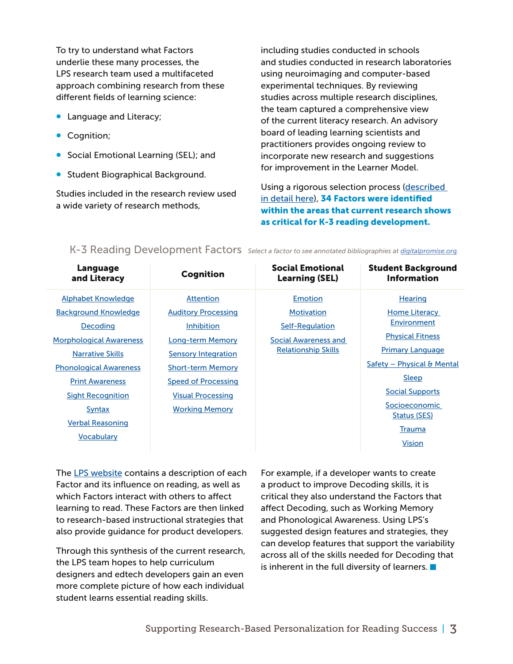To try to understand what Factors underlie these many processes, the LPS research team used a multifaceted approach combining research from these different fields of learning science:

- Language and Literacy;
- **•** Cognition;
- Social Emotional Learning (SEL); and
- **Student Biographical Background.**

Studies included in the research review used a wide variety of research methods,

including studies conducted in schools and studies conducted in research laboratories using neuroimaging and computer-based experimental techniques. By reviewing studies across multiple research disciplines, the team captured a comprehensive view of the current literacy research. An advisory board of leading learning scientists and practitioners provides ongoing review to incorporate new research and suggestions for improvement in the Learner Model.

Using a rigorous selection process ([described](https://docs.google.com/document/d/1pe6cbArBmHk51nywk8s3bRxlPgwsRnmU9glknmkdIiQ/edit?usp=sharing)  [in detail here\)](https://docs.google.com/document/d/1pe6cbArBmHk51nywk8s3bRxlPgwsRnmU9glknmkdIiQ/edit?usp=sharing), 34 Factors were identified within the areas that current research shows as critical for K-3 reading development.

| Language                                                                                                                                      | <b>Cognition</b>                                                                                            | <b>Social Emotional</b>    | <b>Student Background</b>                                                                                                               |
|-----------------------------------------------------------------------------------------------------------------------------------------------|-------------------------------------------------------------------------------------------------------------|----------------------------|-----------------------------------------------------------------------------------------------------------------------------------------|
| and Literacy                                                                                                                                  |                                                                                                             | <b>Learning (SEL)</b>      | <b>Information</b>                                                                                                                      |
| <b>Alphabet Knowledge</b>                                                                                                                     | <b>Attention</b>                                                                                            | <b>Emotion</b>             | Hearing                                                                                                                                 |
| <b>Background Knowledge</b>                                                                                                                   | <b>Auditory Processing</b>                                                                                  | <b>Motivation</b>          | Home Literacy                                                                                                                           |
| Decoding                                                                                                                                      | <b>Inhibition</b>                                                                                           | Self-Regulation            | Environment                                                                                                                             |
| <b>Morphological Awareness</b>                                                                                                                | <b>Long-term Memory</b>                                                                                     | Social Awareness and       | <b>Physical Fitness</b>                                                                                                                 |
| <b>Narrative Skills</b>                                                                                                                       | <b>Sensory Integration</b>                                                                                  | <b>Relationship Skills</b> | <b>Primary Language</b>                                                                                                                 |
| <b>Phonological Awareness</b><br><b>Print Awareness</b><br><b>Sight Recognition</b><br>Syntax<br><b>Verbal Reasoning</b><br><b>Vocabulary</b> | <b>Short-term Memory</b><br><b>Speed of Processing</b><br><b>Visual Processing</b><br><b>Working Memory</b> |                            | Safety – Physical & Mental<br><b>Sleep</b><br><b>Social Supports</b><br>Socioeconomic<br>Status (SES)<br><b>Trauma</b><br><b>Vision</b> |

K-3 Reading Development Factors *Select a factor to see annotated bibliographies at [digitalpromise.org](http://digitalpromise.org/initiative/learner-positioning-systems/k3-literacy-bibliography/).*

The [LPS website](http://lps.digitalpromise.org) contains a description of each Factor and its influence on reading, as well as which Factors interact with others to affect learning to read. These Factors are then linked to research-based instructional strategies that also provide guidance for product developers.

Through this synthesis of the current research, the LPS team hopes to help curriculum designers and edtech developers gain an even more complete picture of how each individual student learns essential reading skills.

For example, if a developer wants to create a product to improve Decoding skills, it is critical they also understand the Factors that affect Decoding, such as Working Memory and Phonological Awareness. Using LPS's suggested design features and strategies, they can develop features that support the variability across all of the skills needed for Decoding that is inherent in the full diversity of learners.  $\blacksquare$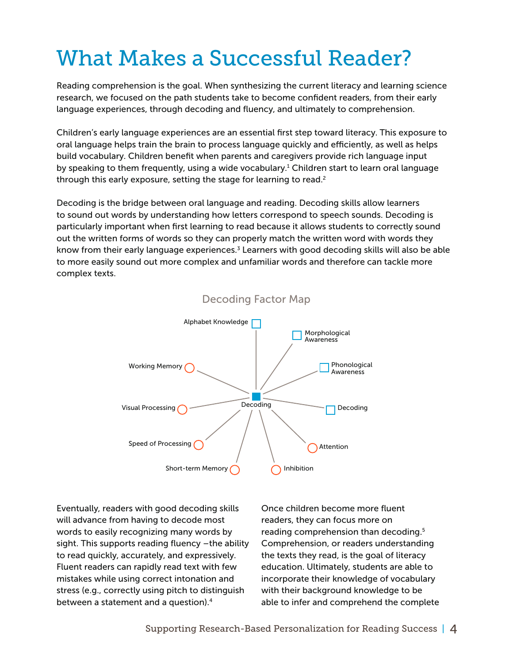# What Makes a Successful Reader?

Reading comprehension is the goal. When synthesizing the current literacy and learning science research, we focused on the path students take to become confident readers, from their early language experiences, through decoding and fluency, and ultimately to comprehension.

Children's early language experiences are an essential first step toward literacy. This exposure to oral language helps train the brain to process language quickly and efficiently, as well as helps build vocabulary. Children benefit when parents and caregivers provide rich language input by speaking to them frequently, using a wide vocabulary.<sup>1</sup> Children start to learn oral language through this early exposure, setting the stage for learning to read.<sup>2</sup>

Decoding is the bridge between oral language and reading. Decoding skills allow learners to sound out words by understanding how letters correspond to speech sounds. Decoding is particularly important when first learning to read because it allows students to correctly sound out the written forms of words so they can properly match the written word with words they know from their early language experiences.<sup>3</sup> Learners with good decoding skills will also be able to more easily sound out more complex and unfamiliar words and therefore can tackle more complex texts.



#### Decoding Factor Map

Eventually, readers with good decoding skills will advance from having to decode most words to easily recognizing many words by sight. This supports reading fluency –the ability to read quickly, accurately, and expressively. Fluent readers can rapidly read text with few mistakes while using correct intonation and stress (e.g., correctly using pitch to distinguish between a statement and a question).4

Once children become more fluent readers, they can focus more on reading comprehension than decoding.<sup>5</sup> Comprehension, or readers understanding the texts they read, is the goal of literacy education. Ultimately, students are able to incorporate their knowledge of vocabulary with their background knowledge to be able to infer and comprehend the complete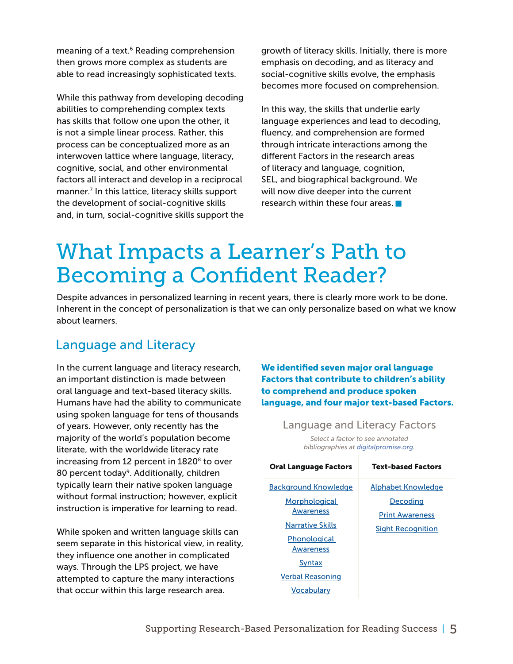meaning of a text.<sup>6</sup> Reading comprehension then grows more complex as students are able to read increasingly sophisticated texts.

While this pathway from developing decoding abilities to comprehending complex texts has skills that follow one upon the other, it is not a simple linear process. Rather, this process can be conceptualized more as an interwoven lattice where language, literacy, cognitive, social, and other environmental factors all interact and develop in a reciprocal manner.7 In this lattice, literacy skills support the development of social-cognitive skills and, in turn, social-cognitive skills support the growth of literacy skills. Initially, there is more emphasis on decoding, and as literacy and social-cognitive skills evolve, the emphasis becomes more focused on comprehension.

In this way, the skills that underlie early language experiences and lead to decoding, fluency, and comprehension are formed through intricate interactions among the different Factors in the research areas of literacy and language, cognition, SEL, and biographical background. We will now dive deeper into the current research within these four areas.

### What Impacts a Learner's Path to Becoming a Confident Reader?

Despite advances in personalized learning in recent years, there is clearly more work to be done. Inherent in the concept of personalization is that we can only personalize based on what we know about learners.

### Language and Literacy

In the current language and literacy research, an important distinction is made between oral language and text-based literacy skills. Humans have had the ability to communicate using spoken language for tens of thousands of years. However, only recently has the majority of the world's population become literate, with the worldwide literacy rate increasing from 12 percent in 1820<sup>8</sup> to over 80 percent today<sup>9</sup>. Additionally, children typically learn their native spoken language without formal instruction; however, explicit instruction is imperative for learning to read.

While spoken and written language skills can seem separate in this historical view, in reality, they influence one another in complicated ways. Through the LPS project, we have attempted to capture the many interactions that occur within this large research area.

We identified seven major oral language Factors that contribute to children's ability to comprehend and produce spoken language, and four major text-based Factors.

> Language and Literacy Factors *Select a factor to see annotated bibliographies at [digitalpromise.org](http://digitalpromise.org/initiative/learner-positioning-systems/k3-literacy-bibliography/).*

| <b>Oral Language Factors</b> | <b>Text-based Factors</b> |  |
|------------------------------|---------------------------|--|
| <b>Background Knowledge</b>  | Alphabet Knowledge        |  |
| Morphological                | Decoding                  |  |
| Awareness                    | <b>Print Awareness</b>    |  |
| Narrative Skills             | <b>Sight Recognition</b>  |  |
| Phonological                 |                           |  |
| Awareness                    |                           |  |
| <b>Syntax</b>                |                           |  |
| Verbal Reasoning             |                           |  |
| Vocabularv                   |                           |  |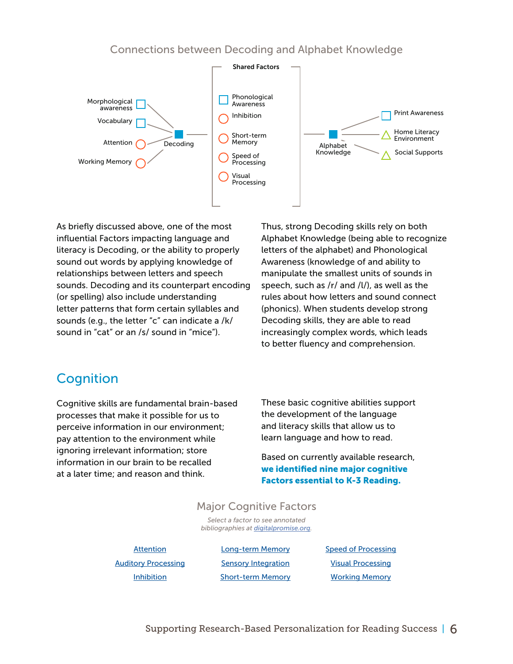#### Connections between Decoding and Alphabet Knowledge



As briefly discussed above, one of the most influential Factors impacting language and literacy is Decoding, or the ability to properly sound out words by applying knowledge of relationships between letters and speech sounds. Decoding and its counterpart encoding (or spelling) also include understanding letter patterns that form certain syllables and sounds (e.g., the letter "c" can indicate a /k/ sound in "cat" or an /s/ sound in "mice").

Thus, strong Decoding skills rely on both Alphabet Knowledge (being able to recognize letters of the alphabet) and Phonological Awareness (knowledge of and ability to manipulate the smallest units of sounds in speech, such as /r/ and /l/), as well as the rules about how letters and sound connect (phonics). When students develop strong Decoding skills, they are able to read increasingly complex words, which leads to better fluency and comprehension.

### **Cognition**

Cognitive skills are fundamental brain-based processes that make it possible for us to perceive information in our environment; pay attention to the environment while ignoring irrelevant information; store information in our brain to be recalled at a later time; and reason and think.

These basic cognitive abilities support the development of the language and literacy skills that allow us to learn language and how to read.

Based on currently available research, we identified nine major cognitive Factors essential to K-3 Reading.

#### Major Cognitive Factors

*Select a factor to see annotated bibliographies at [digitalpromise.org](http://digitalpromise.org/initiative/learner-positioning-systems/k3-literacy-bibliography/).*

**[Attention](http://digitalpromise.org/initiative/learner-positioning-systems/k3-literacy-bibliography/cognition/#attention)** [Auditory Processing](http://digitalpromise.org/initiative/learner-positioning-systems/k3-literacy-bibliography/cognition/#auditory-processing) [Inhibition](http://digitalpromise.org/initiative/learner-positioning-systems/k3-literacy-bibliography/cognition/#inhibition)

[Long-term Memory](http://digitalpromise.org/initiative/learner-positioning-systems/k3-literacy-bibliography/cognition/#ltm) [Sensory Integration](http://digitalpromise.org/initiative/learner-positioning-systems/k3-literacy-bibliography/cognition/#sensory-integration) [Short-term Memory](http://digitalpromise.org/initiative/learner-positioning-systems/k3-literacy-bibliography/cognition/#stm) [Speed of Processing](http://digitalpromise.org/initiative/learner-positioning-systems/k3-literacy-bibliography/cognition/#speed-of-processing) [Visual Processing](http://digitalpromise.org/initiative/learner-positioning-systems/k3-literacy-bibliography/cognition/#visual-processing) [Working Memory](http://digitalpromise.org/initiative/learner-positioning-systems/k3-literacy-bibliography/cognition/#working-memory)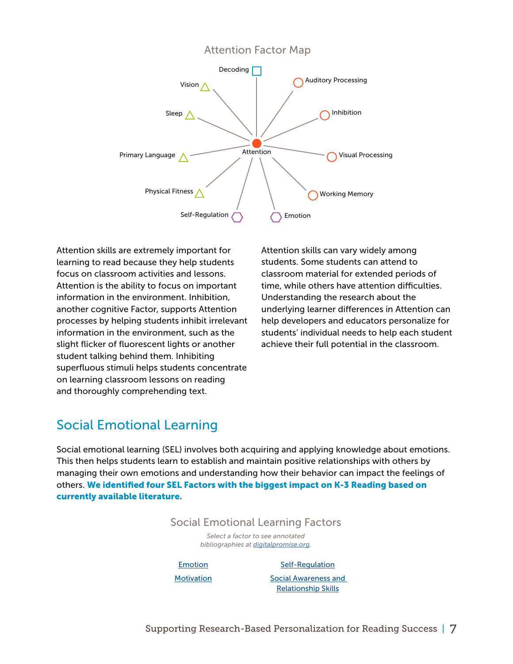

Attention skills are extremely important for learning to read because they help students focus on classroom activities and lessons. Attention is the ability to focus on important information in the environment. Inhibition, another cognitive Factor, supports Attention processes by helping students inhibit irrelevant information in the environment, such as the slight flicker of fluorescent lights or another student talking behind them. Inhibiting superfluous stimuli helps students concentrate on learning classroom lessons on reading and thoroughly comprehending text.

Attention skills can vary widely among students. Some students can attend to classroom material for extended periods of time, while others have attention difficulties. Understanding the research about the underlying learner differences in Attention can help developers and educators personalize for students' individual needs to help each student achieve their full potential in the classroom.

### Social Emotional Learning

Social emotional learning (SEL) involves both acquiring and applying knowledge about emotions. This then helps students learn to establish and maintain positive relationships with others by managing their own emotions and understanding how their behavior can impact the feelings of others. We identified four SEL Factors with the biggest impact on K-3 Reading based on currently available literature.

#### Social Emotional Learning Factors

*Select a factor to see annotated bibliographies at [digitalpromise.org](http://digitalpromise.org/initiative/learner-positioning-systems/k3-literacy-bibliography/).*

[Emotion](http://digitalpromise.org/initiative/learner-positioning-systems/k3-literacy-bibliography/social-emotional-learning/#emotion)

#### [Self-Regulation](http://digitalpromise.org/initiative/learner-positioning-systems/k3-literacy-bibliography/social-emotional-learning/#self-regulation)

**[Motivation](http://digitalpromise.org/initiative/learner-positioning-systems/k3-literacy-bibliography/social-emotional-learning/#motivation)** 

[Social Awareness and](http://digitalpromise.org/initiative/learner-positioning-systems/k3-literacy-bibliography/social-emotional-learning/#social-awareness)  [Relationship Skills](http://digitalpromise.org/initiative/learner-positioning-systems/k3-literacy-bibliography/social-emotional-learning/#social-awareness)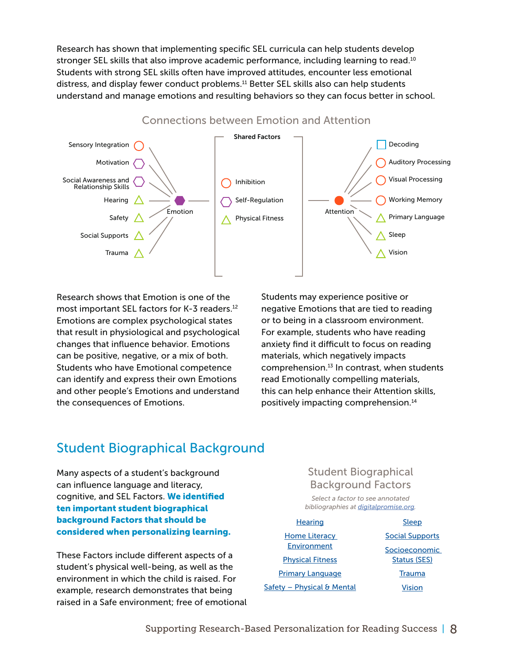Research has shown that implementing specific SEL curricula can help students develop stronger SEL skills that also improve academic performance, including learning to read.<sup>10</sup> Students with strong SEL skills often have improved attitudes, encounter less emotional distress, and display fewer conduct problems.11 Better SEL skills also can help students understand and manage emotions and resulting behaviors so they can focus better in school.



Research shows that Emotion is one of the most important SEL factors for K-3 readers.<sup>12</sup> Emotions are complex psychological states that result in physiological and psychological changes that influence behavior. Emotions can be positive, negative, or a mix of both. Students who have Emotional competence can identify and express their own Emotions and other people's Emotions and understand the consequences of Emotions.

Students may experience positive or negative Emotions that are tied to reading or to being in a classroom environment. For example, students who have reading anxiety find it difficult to focus on reading materials, which negatively impacts comprehension. $^{13}$  In contrast, when students read Emotionally compelling materials, this can help enhance their Attention skills, positively impacting comprehension.14

### Student Biographical Background

Many aspects of a student's background can influence language and literacy, cognitive, and SEL Factors. We identified ten important student biographical background Factors that should be considered when personalizing learning.

These Factors include different aspects of a student's physical well-being, as well as the environment in which the child is raised. For example, research demonstrates that being raised in a Safe environment; free of emotional

#### Student Biographical Background Factors

*Select a factor to see annotated bibliographies at [digitalpromise.org](http://digitalpromise.org/initiative/learner-positioning-systems/k3-literacy-bibliography/).*

- **[Hearing](http://digitalpromise.org/initiative/learner-positioning-systems/k3-literacy-bibliography/student-background-information/#health-hearing)** [Home Literacy](http://digitalpromise.org/initiative/learner-positioning-systems/k3-literacy-bibliography/student-background-information/#hle)  [Environment](http://digitalpromise.org/initiative/learner-positioning-systems/k3-literacy-bibliography/student-background-information/#hle) [Physical Fitness](http://digitalpromise.org/initiative/learner-positioning-systems/k3-literacy-bibliography/student-background-information/#health-physical-fitness) [Primary Language](http://digitalpromise.org/initiative/learner-positioning-systems/k3-literacy-bibliography/student-background-information/#primary-language) Safety - Physical & Mental
- **[Sleep](http://digitalpromise.org/initiative/learner-positioning-systems/k3-literacy-bibliography/student-background-information/#health-sleep)** [Social Supports](http://digitalpromise.org/initiative/learner-positioning-systems/k3-literacy-bibliography/student-background-information/#social-supports) **Socioeconomic** [Status \(SES\)](http://digitalpromise.org/initiative/learner-positioning-systems/k3-literacy-bibliography/student-background-information/#ses) **[Trauma](http://digitalpromise.org/initiative/learner-positioning-systems/k3-literacy-bibliography/student-background-information/#trauma)** [Vision](http://digitalpromise.org/initiative/learner-positioning-systems/k3-literacy-bibliography/student-background-information/#health-vision)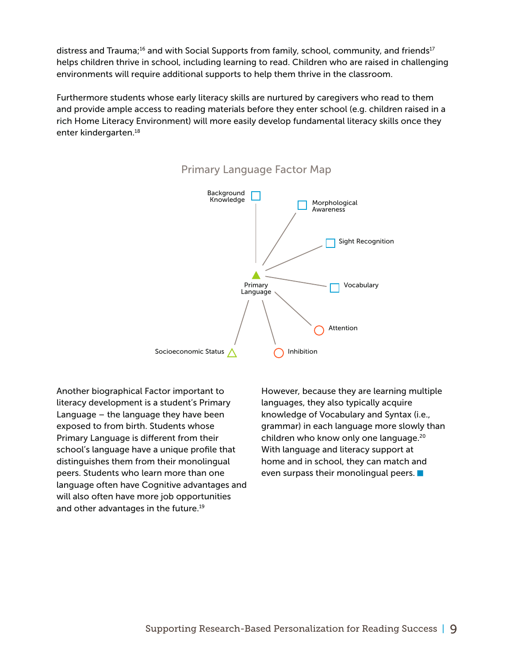distress and Trauma;<sup>16</sup> and with Social Supports from family, school, community, and friends<sup>17</sup> helps children thrive in school, including learning to read. Children who are raised in challenging environments will require additional supports to help them thrive in the classroom.

Furthermore students whose early literacy skills are nurtured by caregivers who read to them and provide ample access to reading materials before they enter school (e.g. children raised in a rich Home Literacy Environment) will more easily develop fundamental literacy skills once they enter kindergarten.18



#### Primary Language Factor Map

Another biographical Factor important to literacy development is a student's Primary Language – the language they have been exposed to from birth. Students whose Primary Language is different from their school's language have a unique profile that distinguishes them from their monolingual peers. Students who learn more than one language often have Cognitive advantages and will also often have more job opportunities and other advantages in the future.<sup>19</sup>

However, because they are learning multiple languages, they also typically acquire knowledge of Vocabulary and Syntax (i.e., grammar) in each language more slowly than children who know only one language.<sup>20</sup> With language and literacy support at home and in school, they can match and even surpass their monolingual peers.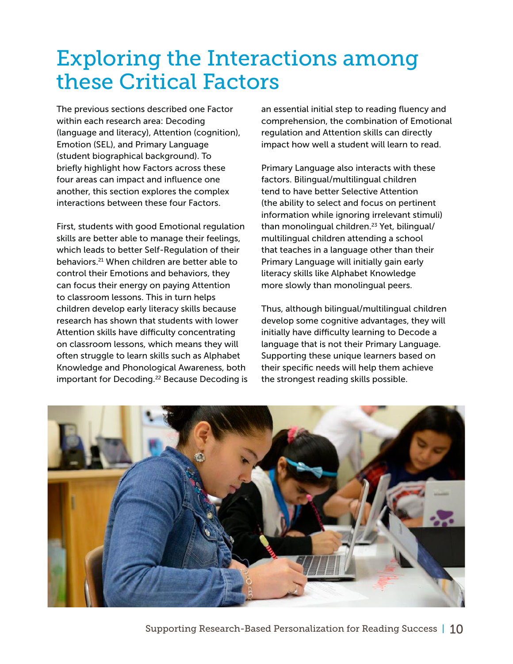# Exploring the Interactions among these Critical Factors

The previous sections described one Factor within each research area: Decoding (language and literacy), Attention (cognition), Emotion (SEL), and Primary Language (student biographical background). To briefly highlight how Factors across these four areas can impact and influence one another, this section explores the complex interactions between these four Factors.

First, students with good Emotional regulation skills are better able to manage their feelings, which leads to better Self-Regulation of their behaviors.21 When children are better able to control their Emotions and behaviors, they can focus their energy on paying Attention to classroom lessons. This in turn helps children develop early literacy skills because research has shown that students with lower Attention skills have difficulty concentrating on classroom lessons, which means they will often struggle to learn skills such as Alphabet Knowledge and Phonological Awareness, both important for Decoding.<sup>22</sup> Because Decoding is an essential initial step to reading fluency and comprehension, the combination of Emotional regulation and Attention skills can directly impact how well a student will learn to read.

Primary Language also interacts with these factors. Bilingual/multilingual children tend to have better Selective Attention (the ability to select and focus on pertinent information while ignoring irrelevant stimuli) than monolingual children.<sup>23</sup> Yet, bilingual/ multilingual children attending a school that teaches in a language other than their Primary Language will initially gain early literacy skills like Alphabet Knowledge more slowly than monolingual peers.

Thus, although bilingual/multilingual children develop some cognitive advantages, they will initially have difficulty learning to Decode a language that is not their Primary Language. Supporting these unique learners based on their specific needs will help them achieve the strongest reading skills possible.

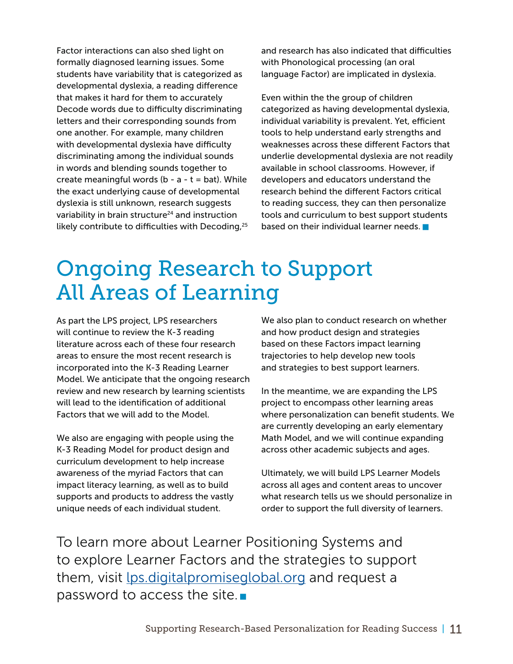Factor interactions can also shed light on formally diagnosed learning issues. Some students have variability that is categorized as developmental dyslexia, a reading difference that makes it hard for them to accurately Decode words due to difficulty discriminating letters and their corresponding sounds from one another. For example, many children with developmental dyslexia have difficulty discriminating among the individual sounds in words and blending sounds together to create meaningful words ( $b - a - t = bat$ ). While the exact underlying cause of developmental dyslexia is still unknown, research suggests variability in brain structure<sup>24</sup> and instruction likely contribute to difficulties with Decoding,<sup>25</sup>

and research has also indicated that difficulties with Phonological processing (an oral language Factor) are implicated in dyslexia.

Even within the the group of children categorized as having developmental dyslexia, individual variability is prevalent. Yet, efficient tools to help understand early strengths and weaknesses across these different Factors that underlie developmental dyslexia are not readily available in school classrooms. However, if developers and educators understand the research behind the different Factors critical to reading success, they can then personalize tools and curriculum to best support students based on their individual learner needs.

## Ongoing Research to Support All Areas of Learning

As part the LPS project, LPS researchers will continue to review the K-3 reading literature across each of these four research areas to ensure the most recent research is incorporated into the K-3 Reading Learner Model. We anticipate that the ongoing research review and new research by learning scientists will lead to the identification of additional Factors that we will add to the Model.

We also are engaging with people using the K-3 Reading Model for product design and curriculum development to help increase awareness of the myriad Factors that can impact literacy learning, as well as to build supports and products to address the vastly unique needs of each individual student.

We also plan to conduct research on whether and how product design and strategies based on these Factors impact learning trajectories to help develop new tools and strategies to best support learners.

In the meantime, we are expanding the LPS project to encompass other learning areas where personalization can benefit students. We are currently developing an early elementary Math Model, and we will continue expanding across other academic subjects and ages.

Ultimately, we will build LPS Learner Models across all ages and content areas to uncover what research tells us we should personalize in order to support the full diversity of learners.

To learn more about Learner Positioning Systems and to explore Learner Factors and the strategies to support them, visit [lps.digitalpromiseglobal.org](http://lps.digitalpromiseglobal.org) and request a password to access the site.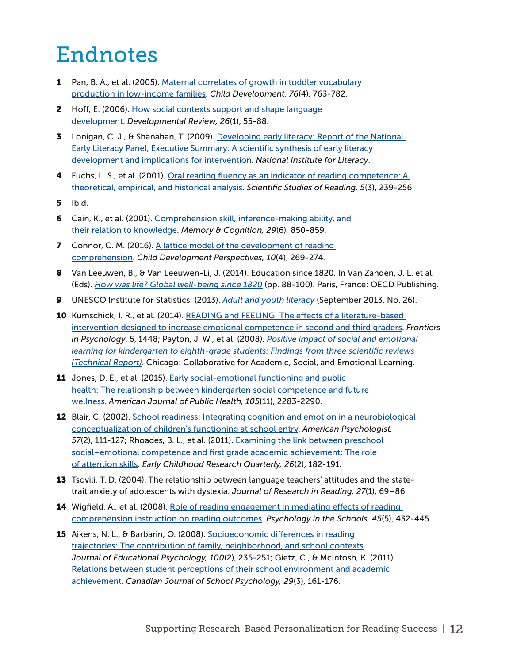# Endnotes

- 1 Pan, B. A., et al. (2005). Maternal correlates of growth in toddler vocabulary [production in low-income families.](https://dash.harvard.edu/bitstream/handle/1/13041209/Rowe%20CD_2005.pdf?sequence=1) *Child Development, 76*(4), 763-782.
- 2 Hoff, E. (2006). How social contexts support and shape language [development.](http://psy2.fau.edu/~hoff/2006%20Hoff%20Developmental%20Review.pdf) *Developmental Review, 26*(1), 55-88.
- **3** Lonigan, C. J., & Shanahan, T. (2009). Developing early literacy: Report of the National [Early Literacy Panel, Executive Summary: A scientific synthesis of early literacy](http://files.eric.ed.gov/fulltext/ED508381.pdf)  [development and implications for intervention](http://files.eric.ed.gov/fulltext/ED508381.pdf). *National Institute for Literacy*.
- 4 Fuchs, L. S., et al. (2001). Oral reading fluency as an indicator of reading competence: A [theoretical, empirical, and historical analysis](http://eyebooks.demicon.ru/files/1236786045.pdf). *Scientific Studies of Reading, 5*(3), 239-256.
- 5 Ibid.
- 6 Cain, K., et al. (2001). [Comprehension skill, inference-making ability, and](https://pdfs.semanticscholar.org/f6ca/50b7d274cb52e4d61f040c22691fc993b16d.pdf)  [their relation to knowledge](https://pdfs.semanticscholar.org/f6ca/50b7d274cb52e4d61f040c22691fc993b16d.pdf). *Memory & Cognition, 29*(6), 850-859.
- **7** Connor, C. M. (2016). A lattice model of the development of reading [comprehension](http://onlinelibrary.wiley.com/doi/10.1111/cdep.12200/abstract?systemMessage=Wiley+Online+Library+will+be+unavailable+on+Saturday+01st+July+from+03.00-09.00+EDT+and+on+Sunday+2nd+July+03.00-06.00+EDT+for+essential+maintenance.++Apologies+for+the+inconvenience.). *Child Development Perspectives, 10*(4), 269-274.
- 8 Van Leeuwen, B., & Van Leeuwen-Li, J. (2014). Education since 1820. In Van Zanden, J. L. et al. (Eds). *[How was life? Global well-being since 1820](http://englishbulletin.adapt.it/wp-content/uploads/2014/10/oecd_2_10_2014.pdf)* (pp. 88-100). Paris, France: OECD Publishing.
- 9 UNESCO Institute for Statistics. (2013). *[Adult and youth literacy](http://www.uis.unesco.org/literacy/Documents/fs26-2013-literacy-en.pdf)* (September 2013, No. 26).
- **10** Kumschick, I. R., et al. (2014). READING and FEELING: The effects of a literature-based [intervention designed to increase emotional competence in second and third graders.](https://www.ncbi.nlm.nih.gov/pmc/articles/PMC4267422/) *Frontiers in Psychology*, 5, 1448; Payton, J. W., et al. (2008). *[Positive impact of social and emotional](http://www.casel.org/wp-content/uploads/2016/08/PDF-4-the-positive-impact-of-social-and-emotional-learning-for-kindergarten-to-eighth-grade-students-executive-summary.pdf)  [learning for kindergarten to eighth-grade students: Findings from three scientific reviews](http://www.casel.org/wp-content/uploads/2016/08/PDF-4-the-positive-impact-of-social-and-emotional-learning-for-kindergarten-to-eighth-grade-students-executive-summary.pdf)  [\(Technical Report\)](http://www.casel.org/wp-content/uploads/2016/08/PDF-4-the-positive-impact-of-social-and-emotional-learning-for-kindergarten-to-eighth-grade-students-executive-summary.pdf)*. Chicago: Collaborative for Academic, Social, and Emotional Learning.
- **11** Jones, D. E., et al. (2015). Early social-emotional functioning and public [health: The relationship between kindergarten social competence and future](https://www.ncbi.nlm.nih.gov/pmc/articles/PMC4605168/)  [wellness](https://www.ncbi.nlm.nih.gov/pmc/articles/PMC4605168/). *American Journal of Public Health, 105*(11), 2283-2290.
- 12 Blair, C. (2002). School readiness: Integrating cognition and emotion in a neurobiological [conceptualization of children's functioning at school entry](http://jenni.uchicago.edu/Spencer_Conference/Representative%20Papers/Blair%20-%20AmPsych.pdf). *American Psychologist, 57*(2), 111-127; Rhoades, B. L., et al. (2011). [Examining the link between preschool](http://developingemotionalintelligence.weebly.com/uploads/1/5/7/5/15751280/social_competence_and_first_grade_success.pdf)  [social–emotional competence and first grade academic achievement: The role](http://developingemotionalintelligence.weebly.com/uploads/1/5/7/5/15751280/social_competence_and_first_grade_success.pdf)  [of attention skills.](http://developingemotionalintelligence.weebly.com/uploads/1/5/7/5/15751280/social_competence_and_first_grade_success.pdf) *Early Childhood Research Quarterly, 26*(2), 182-191.
- 13 Tsovili, T. D. (2004). The relationship between language teachers' attitudes and the statetrait anxiety of adolescents with dyslexia. *Journal of Research in Reading, 27*(1), 69–86.
- 14 Wigfield, A., et al. (2008). Role of reading engagement in mediating effects of reading [comprehension instruction on reading outcomes.](http://www.corilearning.com/research-publications/2008_wigfield_guthrie_etal.pdf) *Psychology in the Schools, 45*(5), 432-445.
- 15 Aikens, N. L., & Barbarin, O. (2008). Socioeconomic differences in reading [trajectories: The contribution of family, neighborhood, and school contexts.](https://eric.ed.gov/?id=EJ796347) *Journal of Educational Psychology, 100*(2), 235-251; Gietz, C., & McIntosh, K. (2011). [Relations between student perceptions of their school environment and academic](http://journals.sagepub.com/doi/abs/10.1177/0829573514540415)  [achievement](http://journals.sagepub.com/doi/abs/10.1177/0829573514540415). *Canadian Journal of School Psychology, 29*(3), 161-176.